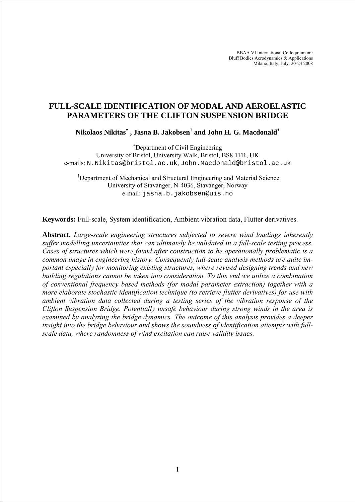BBAA VI International Colloquium on: Bluff Bodies Aerodynamics & Applications Milano, Italy, July, 20-24 2008

# **FULL-SCALE IDENTIFICATION OF MODAL AND AEROELASTIC PARAMETERS OF THE CLIFTON SUSPENSION BRIDGE**

**Nikolaos Nikitas**<sup>∗</sup>  **, Jasna B. Jakobsen† and John H. G. Macdonald**<sup>∗</sup>

∗ Department of Civil Engineering University of Bristol, University Walk, Bristol, BS8 1TR, UK e-mails: N.Nikitas@bristol.ac.uk, John.Macdonald@bristol.ac.uk

† Department of Mechanical and Structural Engineering and Material Science University of Stavanger, N-4036, Stavanger, Norway e-mail: jasna.b.jakobsen@uis.no

**Keywords:** Full-scale, System identification, Ambient vibration data, Flutter derivatives.

**Abstract.** *Large-scale engineering structures subjected to severe wind loadings inherently suffer modelling uncertainties that can ultimately be validated in a full-scale testing process. Cases of structures which were found after construction to be operationally problematic is a common image in engineering history. Consequently full-scale analysis methods are quite important especially for monitoring existing structures, where revised designing trends and new building regulations cannot be taken into consideration. To this end we utilize a combination of conventional frequency based methods (for modal parameter extraction) together with a more elaborate stochastic identification technique (to retrieve flutter derivatives) for use with ambient vibration data collected during a testing series of the vibration response of the Clifton Suspension Bridge. Potentially unsafe behaviour during strong winds in the area is examined by analyzing the bridge dynamics. The outcome of this analysis provides a deeper insight into the bridge behaviour and shows the soundness of identification attempts with fullscale data, where randomness of wind excitation can raise validity issues.*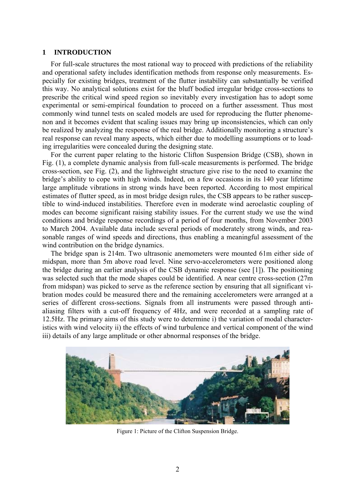## **1 INTRODUCTION**

For full-scale structures the most rational way to proceed with predictions of the reliability and operational safety includes identification methods from response only measurements. Especially for existing bridges, treatment of the flutter instability can substantially be verified this way. No analytical solutions exist for the bluff bodied irregular bridge cross-sections to prescribe the critical wind speed region so inevitably every investigation has to adopt some experimental or semi-empirical foundation to proceed on a further assessment. Thus most commonly wind tunnel tests on scaled models are used for reproducing the flutter phenomenon and it becomes evident that scaling issues may bring up inconsistencies, which can only be realized by analyzing the response of the real bridge. Additionally monitoring a structure's real response can reveal many aspects, which either due to modelling assumptions or to loading irregularities were concealed during the designing state.

For the current paper relating to the historic Clifton Suspension Bridge (CSB), shown in Fig. (1), a complete dynamic analysis from full-scale measurements is performed. The bridge cross-section, see Fig. (2), and the lightweight structure give rise to the need to examine the bridge's ability to cope with high winds. Indeed, on a few occasions in its 140 year lifetime large amplitude vibrations in strong winds have been reported. According to most empirical estimates of flutter speed, as in most bridge design rules, the CSB appears to be rather susceptible to wind-induced instabilities. Therefore even in moderate wind aeroelastic coupling of modes can become significant raising stability issues. For the current study we use the wind conditions and bridge response recordings of a period of four months, from November 2003 to March 2004. Available data include several periods of moderately strong winds, and reasonable ranges of wind speeds and directions, thus enabling a meaningful assessment of the wind contribution on the bridge dynamics.

The bridge span is 214m. Two ultrasonic anemometers were mounted 61m either side of midspan, more than 5m above road level. Nine servo-accelerometers were positioned along the bridge during an earlier analysis of the CSB dynamic response (see [\[1\]](#page-10-0)). The positioning was selected such that the mode shapes could be identified. A near centre cross-section (27m from midspan) was picked to serve as the reference section by ensuring that all significant vibration modes could be measured there and the remaining accelerometers were arranged at a series of different cross-sections. Signals from all instruments were passed through antialiasing filters with a cut-off frequency of 4Hz, and were recorded at a sampling rate of 12.5Hz. The primary aims of this study were to determine i) the variation of modal characteristics with wind velocity ii) the effects of wind turbulence and vertical component of the wind iii) details of any large amplitude or other abnormal responses of the bridge.



Figure 1: Picture of the Clifton Suspension Bridge.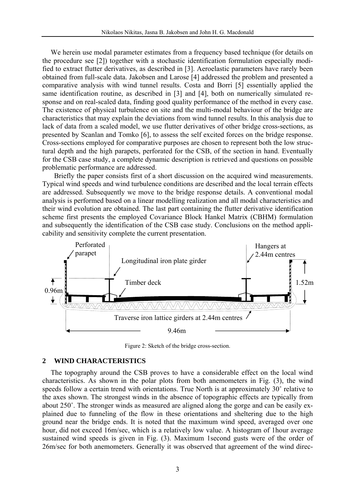We herein use modal parameter estimates from a frequency based technique (for details on the procedure see [\[2\]\)](#page-10-1) together with a stochastic identification formulation especially modified to extract flutter derivatives, as described in [\[3\].](#page-10-2) Aeroelastic parameters have rarely been obtained from full-scale data. Jakobsen and Larose [\[4\]](#page-11-0) addressed the problem and presented a comparative analysis with wind tunnel results. Costa and Borri [\[5\]](#page-11-1) essentially applied the same identification routine, as described in [\[3\]](#page-10-2) and [\[4\]](#page-11-0), both on numerically simulated response and on real-scaled data, finding good quality performance of the method in every case. The existence of physical turbulence on site and the multi-modal behaviour of the bridge are characteristics that may explain the deviations from wind tunnel results. In this analysis due to lack of data from a scaled model, we use flutter derivatives of other bridge cross-sections, as presented by Scanlan and Tomko [\[6\]](#page-11-2), to assess the self excited forces on the bridge response. Cross-sections employed for comparative purposes are chosen to represent both the low structural depth and the high parapets, perforated for the CSB, of the section in hand. Eventually for the CSB case study, a complete dynamic description is retrieved and questions on possible problematic performance are addressed.

Briefly the paper consists first of a short discussion on the acquired wind measurements. Typical wind speeds and wind turbulence conditions are described and the local terrain effects are addressed. Subsequently we move to the bridge response details. A conventional modal analysis is performed based on a linear modelling realization and all modal characteristics and their wind evolution are obtained. The last part containing the flutter derivative identification scheme first presents the employed Covariance Block Hankel Matrix (CBHM) formulation and subsequently the identification of the CSB case study. Conclusions on the method applicability and sensitivity complete the current presentation.



Figure 2: Sketch of the bridge cross-section.

## **2 WIND CHARACTERISTICS**

The topography around the CSB proves to have a considerable effect on the local wind characteristics. As shown in the polar plots from both anemometers in Fig. (3), the wind speeds follow a certain trend with orientations. True North is at approximately 30˚ relative to the axes shown. The strongest winds in the absence of topographic effects are typically from about 250˚. The stronger winds as measured are aligned along the gorge and can be easily explained due to funneling of the flow in these orientations and sheltering due to the high ground near the bridge ends. It is noted that the maximum wind speed, averaged over one hour, did not exceed 16m/sec, which is a relatively low value. A histogram of 1hour average sustained wind speeds is given in Fig. (3). Maximum 1second gusts were of the order of 26m/sec for both anemometers. Generally it was observed that agreement of the wind direc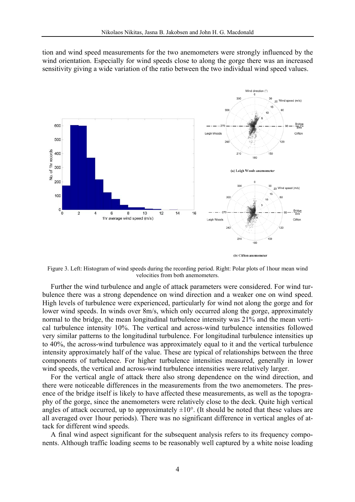tion and wind speed measurements for the two anemometers were strongly influenced by the wind orientation. Especially for wind speeds close to along the gorge there was an increased sensitivity giving a wide variation of the ratio between the two individual wind speed values.



Figure 3. Left: Histogram of wind speeds during the recording period. Right: Polar plots of 1hour mean wind velocities from both anemometers.

Further the wind turbulence and angle of attack parameters were considered. For wind turbulence there was a strong dependence on wind direction and a weaker one on wind speed. High levels of turbulence were experienced, particularly for wind not along the gorge and for lower wind speeds. In winds over 8m/s, which only occurred along the gorge, approximately normal to the bridge, the mean longitudinal turbulence intensity was 21% and the mean vertical turbulence intensity 10%. The vertical and across-wind turbulence intensities followed very similar patterns to the longitudinal turbulence. For longitudinal turbulence intensities up to 40%, the across-wind turbulence was approximately equal to it and the vertical turbulence intensity approximately half of the value. These are typical of relationships between the three components of turbulence. For higher turbulence intensities measured, generally in lower wind speeds, the vertical and across-wind turbulence intensities were relatively larger.

For the vertical angle of attack there also strong dependence on the wind direction, and there were noticeable differences in the measurements from the two anemometers. The presence of the bridge itself is likely to have affected these measurements, as well as the topography of the gorge, since the anemometers were relatively close to the deck. Quite high vertical angles of attack occurred, up to approximately  $\pm 10^{\circ}$ . (It should be noted that these values are all averaged over 1hour periods). There was no significant difference in vertical angles of attack for different wind speeds.

A final wind aspect significant for the subsequent analysis refers to its frequency components. Although traffic loading seems to be reasonably well captured by a white noise loading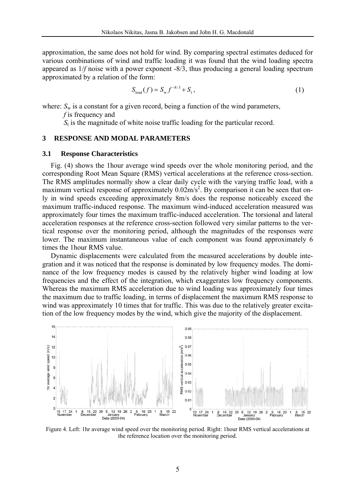approximation, the same does not hold for wind. By comparing spectral estimates deduced for various combinations of wind and traffic loading it was found that the wind loading spectra appeared as 1/*f* noise with a power exponent -8/3, thus producing a general loading spectrum approximated by a relation of the form:

$$
S_{\text{load}}(f) = S_{\text{w}} f^{-8/3} + S_{\text{t}},\tag{1}
$$

where:  $S_w$  is a constant for a given record, being a function of the wind parameters,

*f* is frequency and

*S*t is the magnitude of white noise traffic loading for the particular record.

## **3 RESPONSE AND MODAL PARAMETERS**

#### **3.1 Response Characteristics**

Fig. (4) shows the 1hour average wind speeds over the whole monitoring period, and the corresponding Root Mean Square (RMS) vertical accelerations at the reference cross-section. The RMS amplitudes normally show a clear daily cycle with the varying traffic load, with a maximum vertical response of approximately  $0.02 \text{m/s}^2$ . By comparison it can be seen that only in wind speeds exceeding approximately 8m/s does the response noticeably exceed the maximum traffic-induced response. The maximum wind-induced acceleration measured was approximately four times the maximum traffic-induced acceleration. The torsional and lateral acceleration responses at the reference cross-section followed very similar patterns to the vertical response over the monitoring period, although the magnitudes of the responses were lower. The maximum instantaneous value of each component was found approximately 6 times the 1hour RMS value.

Dynamic displacements were calculated from the measured accelerations by double integration and it was noticed that the response is dominated by low frequency modes. The dominance of the low frequency modes is caused by the relatively higher wind loading at low frequencies and the effect of the integration, which exaggerates low frequency components. Whereas the maximum RMS acceleration due to wind loading was approximately four times the maximum due to traffic loading, in terms of displacement the maximum RMS response to wind was approximately 10 times that for traffic. This was due to the relatively greater excitation of the low frequency modes by the wind, which give the majority of the displacement.



Figure 4. Left: 1hr average wind speed over the monitoring period. Right: 1hour RMS vertical accelerations at the reference location over the monitoring period.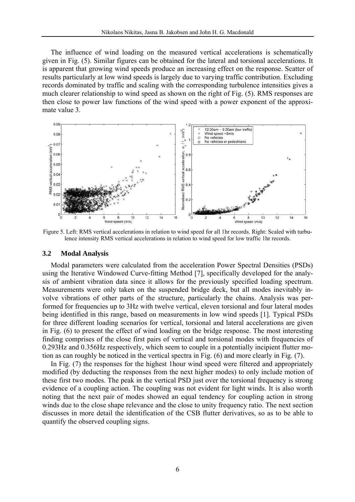The influence of wind loading on the measured vertical accelerations is schematically given in Fig. (5). Similar figures can be obtained for the lateral and torsional accelerations. It is apparent that growing wind speeds produce an increasing effect on the response. Scatter of results particularly at low wind speeds is largely due to varying traffic contribution. Excluding records dominated by traffic and scaling with the corresponding turbulence intensities gives a much clearer relationship to wind speed as shown on the right of Fig. (5). RMS responses are then close to power law functions of the wind speed with a power exponent of the approximate value 3.



Figure 5. Left: RMS vertical accelerations in relation to wind speed for all 1hr records. Right: Scaled with turbulence intensity RMS vertical accelerations in relation to wind speed for low traffic 1hr records.

#### **3.2 Modal Analysis**

Modal parameters were calculated from the acceleration Power Spectral Densities (PSDs) using the Iterative Windowed Curve-fitting Method [\[7\],](#page-11-3) specifically developed for the analysis of ambient vibration data since it allows for the previously specified loading spectrum. Measurements were only taken on the suspended bridge deck, but all modes inevitably involve vibrations of other parts of the structure, particularly the chains. Analysis was performed for frequencies up to 3Hz with twelve vertical, eleven torsional and four lateral modes being identified in this range, based on measurements in low wind speeds [\[1\]](#page-10-0). Typical PSDs for three different loading scenarios for vertical, torsional and lateral accelerations are given in Fig. (6) to present the effect of wind loading on the bridge response. The most interesting finding comprises of the close first pairs of vertical and torsional modes with frequencies of 0.293Hz and 0.356Hz respectively, which seem to couple in a potentially incipient flutter motion as can roughly be noticed in the vertical spectra in Fig. (6) and more clearly in Fig. (7).

In Fig. (7) the responses for the highest 1hour wind speed were filtered and appropriately modified (by deducting the responses from the next higher modes) to only include motion of these first two modes. The peak in the vertical PSD just over the torsional frequency is strong evidence of a coupling action. The coupling was not evident for light winds. It is also worth noting that the next pair of modes showed an equal tendency for coupling action in strong winds due to the close shape relevance and the close to unity frequency ratio. The next section discusses in more detail the identification of the CSB flutter derivatives, so as to be able to quantify the observed coupling signs.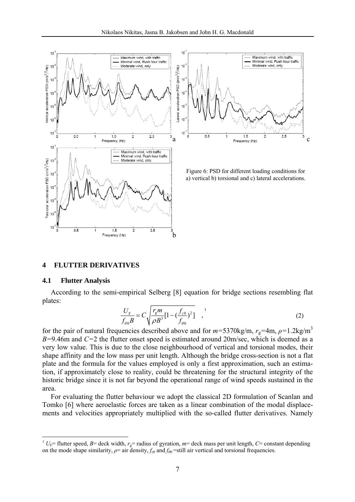



Figure 6: PSD for different loading conditions for a) vertical b) torsional and c) lateral accelerations.

## **4 FLUTTER DERIVATIVES**

#### **4.1 Flutter Analysis**

 $\overline{a}$ 

According to the semi-empirical Selberg [\[8\]](#page-11-4) equation for bridge sections resembling flat plates:

$$
\frac{U_{\rm F}}{f_{\theta 0}B} = C \sqrt{\frac{r_{\rm g}m}{\rho B^3} [1 - (\frac{f_{z0}}{f_{\theta 0}})^2]},
$$
\n(2)

for the pair of natural frequencies described above and for  $m=5370$ kg/m,  $r_g=4$ m,  $\rho=1.2$ kg/m<sup>3</sup> *B=*9.46m and *C=*2 the flutter onset speed is estimated around 20m/sec, which is deemed as a very low value. This is due to the close neighbourhood of vertical and torsional modes, their shape affinity and the low mass per unit length. Although the bridge cross-section is not a flat plate and the formula for the values employed is only a first approximation, such an estimation, if approximately close to reality, could be threatening for the structural integrity of the historic bridge since it is not far beyond the operational range of wind speeds sustained in the area.

For evaluating the flutter behaviour we adopt the classical 2D formulation of Scanlan and Tomko [\[6\]](#page-11-2) where aeroelastic forces are taken as a linear combination of the modal displacements and velocities appropriately multiplied with the so-called flutter derivatives. Namely

<sup>&</sup>lt;sup>1</sup>  $U_F$ = flutter speed, *B*= deck width,  $r_g$ = radius of gyration, *m*= deck mass per unit length, *C*= constant depending on the mode shape similarity,  $\rho$ = air density,  $f_{z0}$  and  $f_{\theta0}$ =still air vertical and torsional frequencies.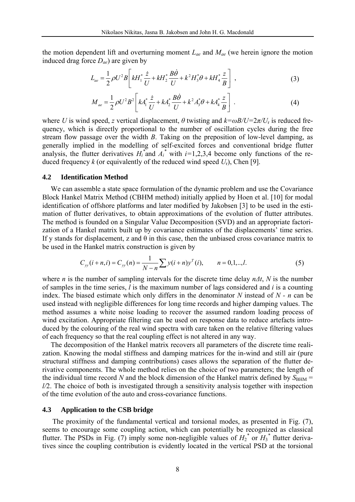the motion dependent lift and overturning moment *Lae* and *Mae* (we herein ignore the motion induced drag force *Dae*) are given by

$$
L_{ae} = \frac{1}{2} \rho U^2 B \left[ k H_1^* \frac{\dot{z}}{U} + k H_2^* \frac{B \dot{\theta}}{U} + k^2 H_3^* \theta + k H_4^* \frac{z}{B} \right] , \qquad (3)
$$

$$
M_{ae} = \frac{1}{2} \rho U^2 B^2 \left[ k A_1^* \frac{\dot{z}}{U} + k A_2^* \frac{B \dot{\theta}}{U} + k^2 A_3^* \theta + k A_4^* \frac{z}{B} \right] \,. \tag{4}
$$

where *U* is wind speed, *z* vertical displacement,  $\theta$  twisting and  $k = \omega B/U = 2\pi/U_r$  is reduced frequency, which is directly proportional to the number of oscillation cycles during the free stream flow passage over the width *B*. Taking on the preposition of low-level damping, as generally implied in the modelling of self-excited forces and conventional bridge flutter analysis, the flutter derivatives  $H_i^*$  and  $A_i^*$  with  $i=1,2,3,4$  become only functions of the reduced frequency  $k$  (or equivalently of the reduced wind speed  $U_r$ ), Chen [\[9\].](#page-11-5)

#### **4.2 Identification Method**

We can assemble a state space formulation of the dynamic problem and use the Covariance Block Hankel Matrix Method (CBHM method) initially applied by Hoen et al. [\[10\]](#page-11-6) for modal identification of offshore platforms and later modified by Jakobsen [\[3\]](#page-10-2) to be used in the estimation of flutter derivatives, to obtain approximations of the evolution of flutter attributes. The method is founded on a Singular Value Decomposition (SVD) and an appropriate factorization of a Hankel matrix built up by covariance estimates of the displacements' time series. If y stands for displacement, z and  $\theta$  in this case, then the unbiased cross covariance matrix to be used in the Hankel matrix construction is given by

$$
C_{yy}(i+n,i) = C_{yy}(n) = \frac{1}{N-n} \sum y(i+n)y^{T}(i), \qquad n = 0,1,..,l.
$$
 (5)

where *n* is the number of sampling intervals for the discrete time delay *nΔt*, *N* is the number of samples in the time series, *l* is the maximum number of lags considered and *i* is a counting index. The biased estimate which only differs in the denominator *N* instead of *N - n* can be used instead with negligible differences for long time records and higher damping values. The method assumes a white noise loading to recover the assumed random loading process of wind excitation. Appropriate filtering can be used on response data to reduce artefacts introduced by the colouring of the real wind spectra with care taken on the relative filtering values of each frequency so that the real coupling effect is not altered in any way.

The decomposition of the Hankel matrix recovers all parameters of the discrete time realization. Knowing the modal stiffness and damping matrices for the in-wind and still air (pure structural stiffness and damping contributions) cases allows the separation of the flutter derivative components. The whole method relies on the choice of two parameters; the length of the individual time record *N* and the block dimension of the Hankel matrix defined by  $S_{\text{BHM}} =$ *l/*2. The choice of both is investigated through a sensitivity analysis together with inspection of the time evolution of the auto and cross-covariance functions.

### **4.3 Application to the CSB bridge**

The proximity of the fundamental vertical and torsional modes, as presented in Fig. (7), seems to encourage some coupling action, which can potentially be recognized as classical flutter. The PSDs in Fig. (7) imply some non-negligible values of  $H_2^*$  or  $H_3^*$  flutter derivatives since the coupling contribution is evidently located in the vertical PSD at the torsional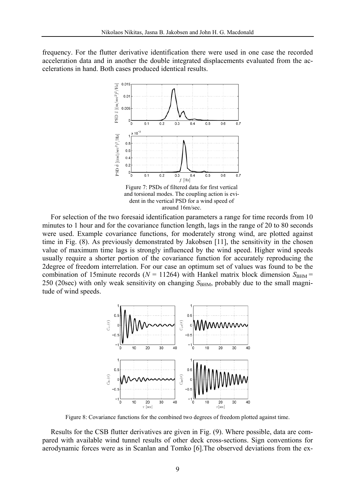frequency. For the flutter derivative identification there were used in one case the recorded acceleration data and in another the double integrated displacements evaluated from the accelerations in hand. Both cases produced identical results.



For selection of the two foresaid identification parameters a range for time records from 10 minutes to 1 hour and for the covariance function length, lags in the range of 20 to 80 seconds were used. Example covariance functions, for moderately strong wind, are plotted against time in Fig. (8). As previously demonstrated by Jakobsen [\[11\]](#page-11-7), the sensitivity in the chosen value of maximum time lags is strongly influenced by the wind speed. Higher wind speeds usually require a shorter portion of the covariance function for accurately reproducing the 2degree of freedom interrelation. For our case an optimum set of values was found to be the combination of 15minute records ( $N = 11264$ ) with Hankel matrix block dimension  $S_{\text{BHM}} =$ 250 (20sec) with only weak sensitivity on changing  $S_{\text{BHM}}$ , probably due to the small magnitude of wind speeds.



Figure 8: Covariance functions for the combined two degrees of freedom plotted against time.

Results for the CSB flutter derivatives are given in Fig. (9). Where possible, data are compared with available wind tunnel results of other deck cross-sections. Sign conventions for aerodynamic forces were as in Scanlan and Tomko [\[6\]](#page-11-2).The observed deviations from the ex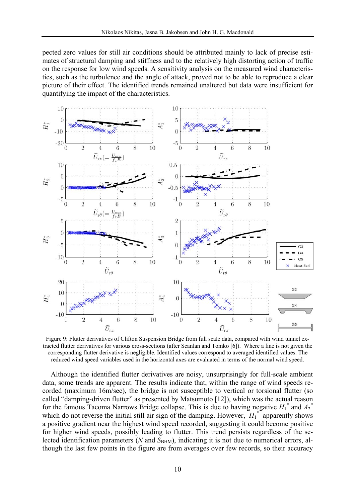pected zero values for still air conditions should be attributed mainly to lack of precise estimates of structural damping and stiffness and to the relatively high distorting action of traffic on the response for low wind speeds. A sensitivity analysis on the measured wind characteristics, such as the turbulence and the angle of attack, proved not to be able to reproduce a clear picture of their effect. The identified trends remained unaltered but data were insufficient for quantifying the impact of the characteristics.



Figure 9: Flutter derivatives of Clifton Suspension Bridge from full scale data, compared with wind tunnel extracted flutter derivatives for various cross-sections (after Scanlan and Tomko [\[6\]\)](#page-11-2). Where a line is not given the corresponding flutter derivative is negligible. Identified values correspond to averaged identified values. The reduced wind speed variables used in the horizontal axes are evaluated in terms of the normal wind speed.

Although the identified flutter derivatives are noisy, unsurprisingly for full-scale ambient data, some trends are apparent. The results indicate that, within the range of wind speeds recorded (maximum 16m/sec), the bridge is not susceptible to vertical or torsional flutter (so called "damping-driven flutter" as presented by Matsumoto [\[12\]\)](#page-11-8), which was the actual reason for the famous Tacoma Narrows Bridge collapse. This is due to having negative  $H_1^*$  and  $A_2^*$ which do not reverse the initial still air sign of the damping. However,  $H_1^*$  apparently shows a positive gradient near the highest wind speed recorded, suggesting it could become positive for higher wind speeds, possibly leading to flutter. This trend persists regardless of the selected identification parameters (*N* and *S*<sub>BHM</sub>), indicating it is not due to numerical errors, although the last few points in the figure are from averages over few records, so their accuracy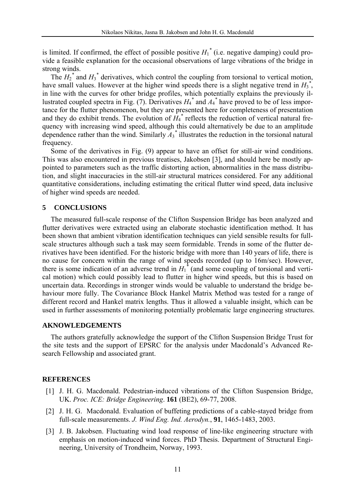is limited. If confirmed, the effect of possible positive  $H_1^*$  (i.e. negative damping) could provide a feasible explanation for the occasional observations of large vibrations of the bridge in strong winds.

The  $H_2^*$  and  $H_3^*$  derivatives, which control the coupling from torsional to vertical motion, have small values. However at the higher wind speeds there is a slight negative trend in  $H_3^*$ , in line with the curves for other bridge profiles, which potentially explains the previously illustrated coupled spectra in Fig. (7). Derivatives  $H_4^*$  and  $A_4^*$  have proved to be of less importance for the flutter phenomenon, but they are presented here for completeness of presentation and they do exhibit trends. The evolution of  $H_4^*$  reflects the reduction of vertical natural frequency with increasing wind speed, although this could alternatively be due to an amplitude dependence rather than the wind. Similarly  $A_3^*$  illustrates the reduction in the torsional natural frequency.

Some of the derivatives in Fig. (9) appear to have an offset for still-air wind conditions. This was also encountered in previous treatises, Jakobsen [\[3\],](#page-10-2) and should here be mostly appointed to parameters such as the traffic distorting action, abnormalities in the mass distribution, and slight inaccuracies in the still-air structural matrices considered. For any additional quantitative considerations, including estimating the critical flutter wind speed, data inclusive of higher wind speeds are needed.

## **5 CONCLUSIONS**

The measured full-scale response of the Clifton Suspension Bridge has been analyzed and flutter derivatives were extracted using an elaborate stochastic identification method. It has been shown that ambient vibration identification techniques can yield sensible results for fullscale structures although such a task may seem formidable. Trends in some of the flutter derivatives have been identified. For the historic bridge with more than 140 years of life, there is no cause for concern within the range of wind speeds recorded (up to 16m/sec). However, there is some indication of an adverse trend in  $H_1^*$  (and some coupling of torsional and vertical motion) which could possibly lead to flutter in higher wind speeds, but this is based on uncertain data. Recordings in stronger winds would be valuable to understand the bridge behaviour more fully. The Covariance Block Hankel Matrix Method was tested for a range of different record and Hankel matrix lengths. Thus it allowed a valuable insight, which can be used in further assessments of monitoring potentially problematic large engineering structures.

## **AKNOWLEDGEMENTS**

The authors gratefully acknowledge the support of the Clifton Suspension Bridge Trust for the site tests and the support of EPSRC for the analysis under Macdonald's Advanced Research Fellowship and associated grant.

#### <span id="page-10-0"></span>**REFERENCES**

- [1] J. H. G. Macdonald. Pedestrian-induced vibrations of the Clifton Suspension Bridge, UK. *Proc. ICE: Bridge Engineering*. **161** (BE2), 69-77, 2008.
- <span id="page-10-1"></span>[2] J. H. G. Macdonald. Evaluation of buffeting predictions of a cable-stayed bridge from full-scale measurements. *J. Wind Eng. Ind. Aerodyn.*, **91**, 1465-1483, 2003.
- <span id="page-10-2"></span>[3] J. B. Jakobsen. Fluctuating wind load response of line-like engineering structure with emphasis on motion-induced wind forces. PhD Thesis. Department of Structural Engineering, University of Trondheim, Norway, 1993.